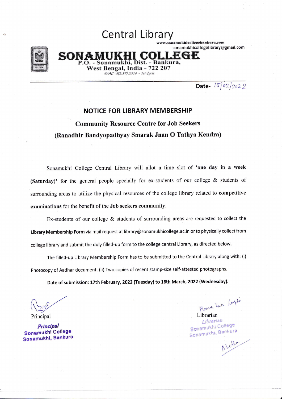

# **Central Library**

ww.sonamukhicollegebankura.com sonamukhicollegelibrary@gmail.com

SON hi. Dist. - Bankura. West Bengal, India - 722 207 NAAC: B(2.37) 2016 - 1st Cycle

Date-  $15/02/2022$ 

#### **NOTICE FOR LIBRARY MEMBERSHIP**

**Community Resource Centre for Job Seekers** (Ranadhir Bandyopadhyay Smarak Jnan O Tathya Kendra)

Sonamukhi College Central Library will allot a time slot of 'one day in a week (Saturday)' for the general people specially for ex-students of our college & students of surrounding areas to utilize the physical resources of the college library related to competitive examinations for the benefit of the Job seekers community.

Ex-students of our college  $&$  students of surrounding areas are requested to collect the Library Membership Form via mail request at library@sonamukhicollege.ac.in or to physically collect from college library and submit the duly filled-up form to the college central Library, as directed below.

The filled-up Library Membership Form has to be submitted to the Central Library along with: (i) Photocopy of Aadhar document. (ii) Two copies of recent stamp-size self-attested photographs.

Date of submission: 17th February, 2022 (Tuesday) to 16th March, 2022 (Wednesday).

Principal

Principal Sonamukhi College Sonamukhi, Bankura

Many Kas Lugh

Librarian Librarian Sonamukhi College Sonamukhi, Bankura

Alohan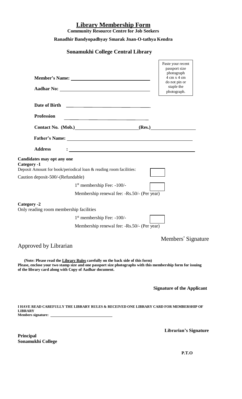## **Library Membership Form**

**Community Resource Centre for Job Seekers**

### **Ranadhir Bandyopadhyay Smarak Jnan-O-tathya Kendra**

### **Sonamukhi College Central Library**

|                                                                                                                                                                                                                                                         | Paste your recent<br>passport size<br>photograph<br>4 cm x 4 cm<br>do not pin or<br>staple the<br>photograph. |
|---------------------------------------------------------------------------------------------------------------------------------------------------------------------------------------------------------------------------------------------------------|---------------------------------------------------------------------------------------------------------------|
|                                                                                                                                                                                                                                                         |                                                                                                               |
| <b>Profession</b><br><u> 1989 - Johann Barbara, martxa alemaniar arg</u>                                                                                                                                                                                |                                                                                                               |
| Contact No. (Mob.) (Res.) (Res.)                                                                                                                                                                                                                        |                                                                                                               |
|                                                                                                                                                                                                                                                         |                                                                                                               |
| <b>Address</b>                                                                                                                                                                                                                                          |                                                                                                               |
| Candidates may opt any one<br>Category -1<br>Deposit Amount for book/periodical loan & reading room facilities:                                                                                                                                         |                                                                                                               |
| Caution deposit-500/-(Refundable)                                                                                                                                                                                                                       |                                                                                                               |
| $1st$ membership Fee: -100/-                                                                                                                                                                                                                            |                                                                                                               |
| Membership renewal fee: -Rs.50/- (Per year)                                                                                                                                                                                                             |                                                                                                               |
| Category -2<br>Only reading room membership facilities                                                                                                                                                                                                  |                                                                                                               |
| $1st$ membership Fee: -100/-                                                                                                                                                                                                                            |                                                                                                               |
| Membership renewal fee: -Rs.50/- (Per year)                                                                                                                                                                                                             |                                                                                                               |
|                                                                                                                                                                                                                                                         | Members' Signature                                                                                            |
| Approved by Librarian                                                                                                                                                                                                                                   |                                                                                                               |
| (Note: Please read the Library Rules carefully on the back side of this form)<br>Please, enclose your two stamp size and one passport size photographs with this membership form for issuing<br>of the library card along with Copy of Aadhar document. |                                                                                                               |
|                                                                                                                                                                                                                                                         | <b>Signature of the Applicant</b>                                                                             |
| I HAVE READ CAREFULLY THE LIBRARY RULES & RECEIVED ONE LIBRARY CARD FOR MEMBERSHIP OF<br><b>LIBRARY</b>                                                                                                                                                 |                                                                                                               |

**Principal Sonamukhi College** **Librarian's Signature**

**P.T.O**